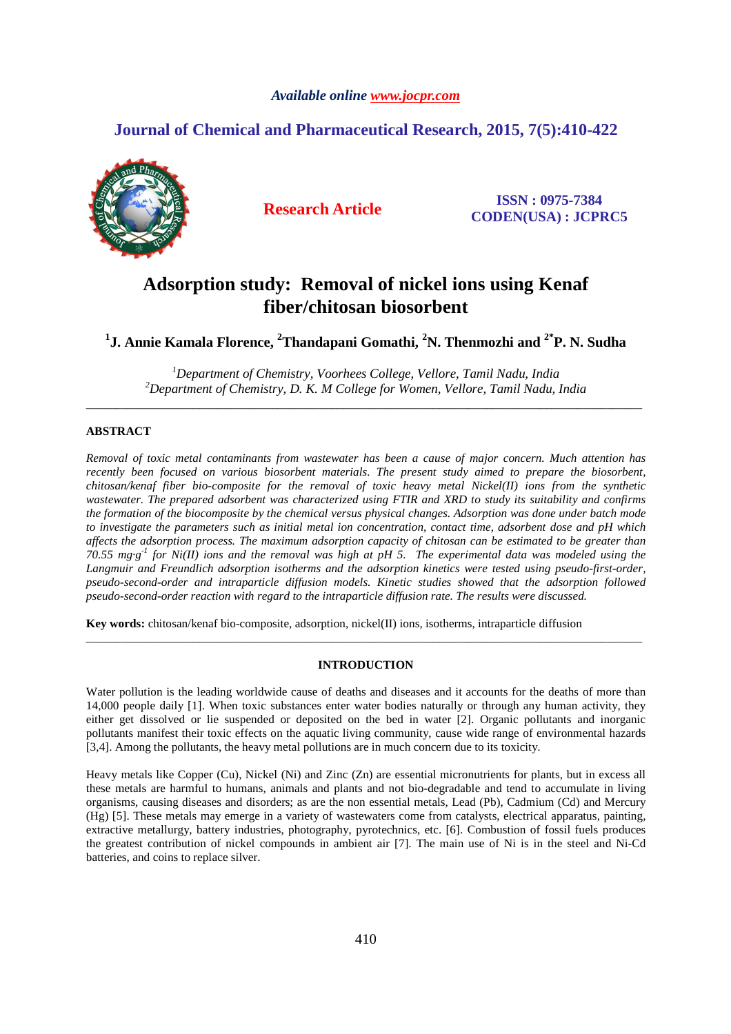### *Available online www.jocpr.com*

## **Journal of Chemical and Pharmaceutical Research, 2015, 7(5):410-422**



**Research Article ISSN : 0975-7384 CODEN(USA) : JCPRC5**

# **Adsorption study: Removal of nickel ions using Kenaf fiber/chitosan biosorbent**

**1 J. Annie Kamala Florence, <sup>2</sup>Thandapani Gomathi, <sup>2</sup>N. Thenmozhi and 2\*P. N. Sudha** 

*<sup>1</sup>Department of Chemistry, Voorhees College, Vellore, Tamil Nadu, India <sup>2</sup>Department of Chemistry, D. K. M College for Women, Vellore, Tamil Nadu, India*  \_\_\_\_\_\_\_\_\_\_\_\_\_\_\_\_\_\_\_\_\_\_\_\_\_\_\_\_\_\_\_\_\_\_\_\_\_\_\_\_\_\_\_\_\_\_\_\_\_\_\_\_\_\_\_\_\_\_\_\_\_\_\_\_\_\_\_\_\_\_\_\_\_\_\_\_\_\_\_\_\_\_\_\_\_\_\_\_\_\_\_\_\_

### **ABSTRACT**

*Removal of toxic metal contaminants from wastewater has been a cause of major concern. Much attention has recently been focused on various biosorbent materials. The present study aimed to prepare the biosorbent, chitosan/kenaf fiber bio-composite for the removal of toxic heavy metal Nickel(II) ions from the synthetic wastewater. The prepared adsorbent was characterized using FTIR and XRD to study its suitability and confirms the formation of the biocomposite by the chemical versus physical changes. Adsorption was done under batch mode to investigate the parameters such as initial metal ion concentration, contact time, adsorbent dose and pH which affects the adsorption process. The maximum adsorption capacity of chitosan can be estimated to be greater than 70.55 mg·g-1 for Ni(II) ions and the removal was high at pH 5. The experimental data was modeled using the Langmuir and Freundlich adsorption isotherms and the adsorption kinetics were tested using pseudo-first-order, pseudo-second-order and intraparticle diffusion models. Kinetic studies showed that the adsorption followed pseudo-second-order reaction with regard to the intraparticle diffusion rate. The results were discussed.* 

**Key words:** chitosan/kenaf bio-composite, adsorption, nickel(II) ions, isotherms, intraparticle diffusion

### **INTRODUCTION**

\_\_\_\_\_\_\_\_\_\_\_\_\_\_\_\_\_\_\_\_\_\_\_\_\_\_\_\_\_\_\_\_\_\_\_\_\_\_\_\_\_\_\_\_\_\_\_\_\_\_\_\_\_\_\_\_\_\_\_\_\_\_\_\_\_\_\_\_\_\_\_\_\_\_\_\_\_\_\_\_\_\_\_\_\_\_\_\_\_\_\_\_\_

Water pollution is the leading worldwide cause of deaths and diseases and it accounts for the deaths of more than 14,000 people daily [1]. When toxic substances enter water bodies naturally or through any human activity, they either get dissolved or lie suspended or deposited on the bed in water [2]. Organic pollutants and inorganic pollutants manifest their toxic effects on the aquatic living community, cause wide range of environmental hazards [3,4]. Among the pollutants, the heavy metal pollutions are in much concern due to its toxicity.

Heavy metals like Copper (Cu), Nickel (Ni) and Zinc (Zn) are essential micronutrients for plants, but in excess all these metals are harmful to humans, animals and plants and not bio-degradable and tend to accumulate in living organisms, causing diseases and disorders; as are the non essential metals, Lead (Pb), Cadmium (Cd) and Mercury (Hg) [5]. These metals may emerge in a variety of wastewaters come from catalysts, electrical apparatus, painting, extractive metallurgy, battery industries, photography, pyrotechnics, etc. [6]. Combustion of fossil fuels produces the greatest contribution of nickel compounds in ambient air [7]. The main use of Ni is in the steel and Ni-Cd batteries, and coins to replace silver.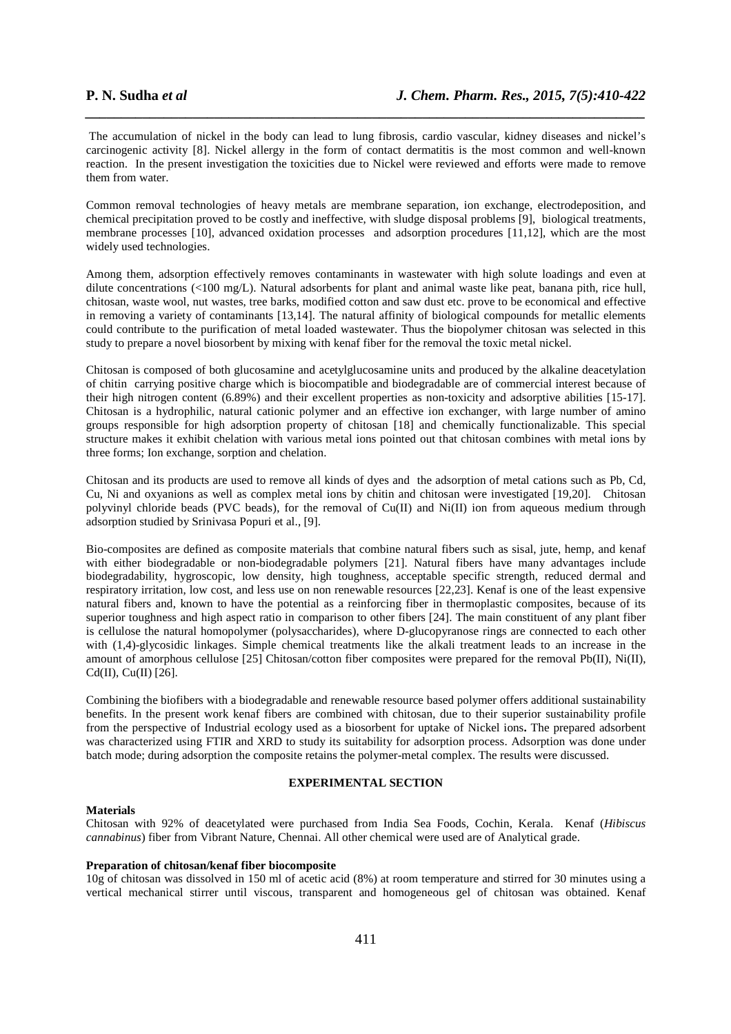The accumulation of nickel in the body can lead to lung fibrosis, cardio vascular, kidney diseases and nickel's carcinogenic activity [8]. Nickel allergy in the form of contact dermatitis is the most common and well-known reaction. In the present investigation the toxicities due to Nickel were reviewed and efforts were made to remove them from water.

*\_\_\_\_\_\_\_\_\_\_\_\_\_\_\_\_\_\_\_\_\_\_\_\_\_\_\_\_\_\_\_\_\_\_\_\_\_\_\_\_\_\_\_\_\_\_\_\_\_\_\_\_\_\_\_\_\_\_\_\_\_\_\_\_\_\_\_\_\_\_\_\_\_\_\_\_\_\_*

Common removal technologies of heavy metals are membrane separation, ion exchange, electrodeposition, and chemical precipitation proved to be costly and ineffective, with sludge disposal problems [9], biological treatments, membrane processes [10], advanced oxidation processes and adsorption procedures [11,12], which are the most widely used technologies.

Among them, adsorption effectively removes contaminants in wastewater with high solute loadings and even at dilute concentrations (<100 mg/L). Natural adsorbents for plant and animal waste like peat, banana pith, rice hull, chitosan, waste wool, nut wastes, tree barks, modified cotton and saw dust etc. prove to be economical and effective in removing a variety of contaminants [13,14]. The natural affinity of biological compounds for metallic elements could contribute to the purification of metal loaded wastewater. Thus the biopolymer chitosan was selected in this study to prepare a novel biosorbent by mixing with kenaf fiber for the removal the toxic metal nickel.

Chitosan is composed of both glucosamine and acetylglucosamine units and produced by the alkaline deacetylation of chitin carrying positive charge which is biocompatible and biodegradable are of commercial interest because of their high nitrogen content (6.89%) and their excellent properties as non-toxicity and adsorptive abilities [15-17]. Chitosan is a hydrophilic, natural cationic polymer and an effective ion exchanger, with large number of amino groups responsible for high adsorption property of chitosan [18] and chemically functionalizable. This special structure makes it exhibit chelation with various metal ions pointed out that chitosan combines with metal ions by three forms; Ion exchange, sorption and chelation.

Chitosan and its products are used to remove all kinds of dyes and the adsorption of metal cations such as Pb, Cd, Cu, Ni and oxyanions as well as complex metal ions by chitin and chitosan were investigated [19,20]. Chitosan polyvinyl chloride beads (PVC beads), for the removal of Cu(II) and Ni(II) ion from aqueous medium through adsorption studied by Srinivasa Popuri et al., [9].

Bio-composites are defined as composite materials that combine natural fibers such as sisal, jute, hemp, and kenaf with either biodegradable or non-biodegradable polymers [21]. Natural fibers have many advantages include biodegradability, hygroscopic, low density, high toughness, acceptable specific strength, reduced dermal and respiratory irritation, low cost, and less use on non renewable resources [22,23]. Kenaf is one of the least expensive natural fibers and, known to have the potential as a reinforcing fiber in thermoplastic composites, because of its superior toughness and high aspect ratio in comparison to other fibers [24]. The main constituent of any plant fiber is cellulose the natural homopolymer (polysaccharides), where D-glucopyranose rings are connected to each other with (1,4)-glycosidic linkages. Simple chemical treatments like the alkali treatment leads to an increase in the amount of amorphous cellulose [25] Chitosan/cotton fiber composites were prepared for the removal Pb(II), Ni(II), Cd(II), Cu(II)  $[26]$ .

Combining the biofibers with a biodegradable and renewable resource based polymer offers additional sustainability benefits. In the present work kenaf fibers are combined with chitosan, due to their superior sustainability profile from the perspective of Industrial ecology used as a biosorbent for uptake of Nickel ions**.** The prepared adsorbent was characterized using FTIR and XRD to study its suitability for adsorption process. Adsorption was done under batch mode; during adsorption the composite retains the polymer-metal complex. The results were discussed.

#### **EXPERIMENTAL SECTION**

#### **Materials**

Chitosan with 92% of deacetylated were purchased from India Sea Foods, Cochin, Kerala. Kenaf (*Hibiscus cannabinus*) fiber from Vibrant Nature, Chennai. All other chemical were used are of Analytical grade.

#### **Preparation of chitosan/kenaf fiber biocomposite**

10g of chitosan was dissolved in 150 ml of acetic acid (8%) at room temperature and stirred for 30 minutes using a vertical mechanical stirrer until viscous, transparent and homogeneous gel of chitosan was obtained. Kenaf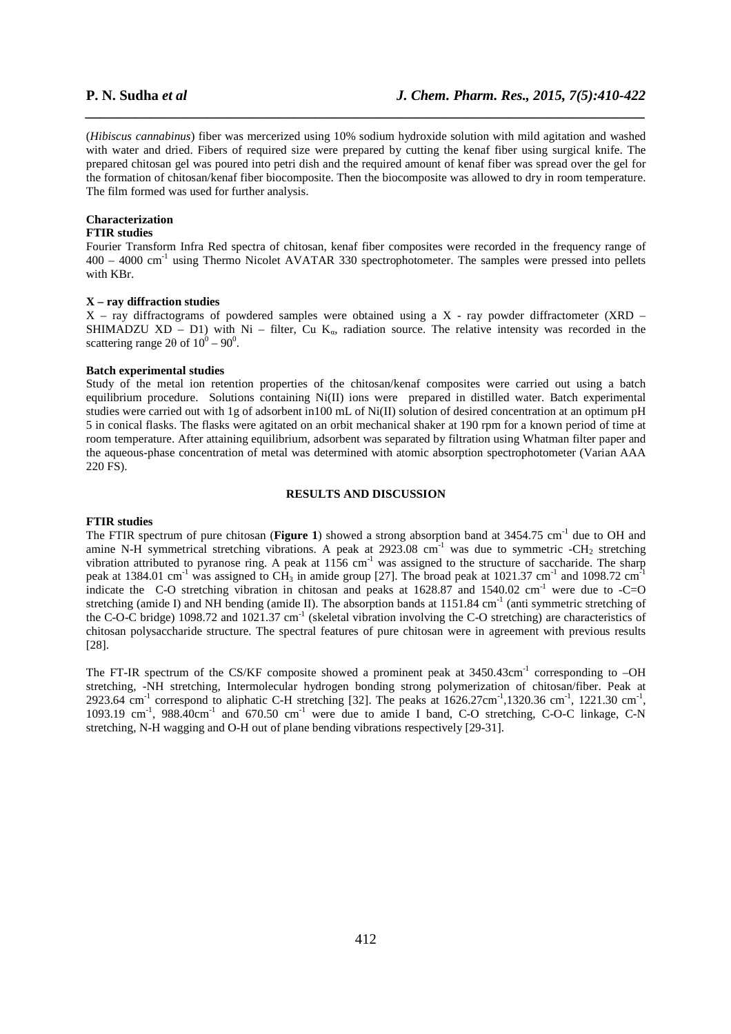(*Hibiscus cannabinus*) fiber was mercerized using 10% sodium hydroxide solution with mild agitation and washed with water and dried. Fibers of required size were prepared by cutting the kenaf fiber using surgical knife. The prepared chitosan gel was poured into petri dish and the required amount of kenaf fiber was spread over the gel for the formation of chitosan/kenaf fiber biocomposite. Then the biocomposite was allowed to dry in room temperature. The film formed was used for further analysis.

*\_\_\_\_\_\_\_\_\_\_\_\_\_\_\_\_\_\_\_\_\_\_\_\_\_\_\_\_\_\_\_\_\_\_\_\_\_\_\_\_\_\_\_\_\_\_\_\_\_\_\_\_\_\_\_\_\_\_\_\_\_\_\_\_\_\_\_\_\_\_\_\_\_\_\_\_\_\_*

#### **Characterization**

#### **FTIR studies**

Fourier Transform Infra Red spectra of chitosan, kenaf fiber composites were recorded in the frequency range of  $400 - 4000$  cm<sup>-1</sup> using Thermo Nicolet AVATAR 330 spectrophotometer. The samples were pressed into pellets with KBr.

#### **X – ray diffraction studies**

 $X$  – ray diffractograms of powdered samples were obtained using a X - ray powder diffractometer (XRD – SHIMADZU XD – D1) with Ni – filter, Cu  $K_{\alpha}$ , radiation source. The relative intensity was recorded in the scattering range  $2\theta$  of  $10^0 - 90^0$ .

#### **Batch experimental studies**

Study of the metal ion retention properties of the chitosan/kenaf composites were carried out using a batch equilibrium procedure. Solutions containing Ni(II) ions were prepared in distilled water. Batch experimental studies were carried out with 1g of adsorbent in100 mL of Ni(II) solution of desired concentration at an optimum pH 5 in conical flasks. The flasks were agitated on an orbit mechanical shaker at 190 rpm for a known period of time at room temperature. After attaining equilibrium, adsorbent was separated by filtration using Whatman filter paper and the aqueous-phase concentration of metal was determined with atomic absorption spectrophotometer (Varian AAA 220 FS).

### **RESULTS AND DISCUSSION**

#### **FTIR studies**

The FTIR spectrum of pure chitosan (**Figure 1**) showed a strong absorption band at 3454.75 cm<sup>-1</sup> due to OH and amine N-H symmetrical stretching vibrations. A peak at  $2923.08 \text{ cm}^{-1}$  was due to symmetric -CH<sub>2</sub> stretching vibration attributed to pyranose ring. A peak at  $1156 \text{ cm}^{-1}$  was assigned to the structure of saccharide. The sharp peak at 1384.01 cm<sup>-1</sup> was assigned to CH<sub>3</sub> in amide group [27]. The broad peak at 1021.37 cm<sup>-1</sup> and 1098.72 cm<sup>-1</sup> indicate the C-O stretching vibration in chitosan and peaks at  $1628.87$  and  $1540.02$  cm<sup>-1</sup> were due to -C=O stretching (amide I) and NH bending (amide II). The absorption bands at  $1151.84 \text{ cm}^{-1}$  (anti symmetric stretching of the C-O-C bridge) 1098.72 and 1021.37 cm<sup>-1</sup> (skeletal vibration involving the C-O stretching) are characteristics of chitosan polysaccharide structure. The spectral features of pure chitosan were in agreement with previous results [28].

The FT-IR spectrum of the CS/KF composite showed a prominent peak at 3450.43cm<sup>-1</sup> corresponding to  $-OH$ stretching, -NH stretching, Intermolecular hydrogen bonding strong polymerization of chitosan/fiber. Peak at 2923.64 cm<sup>-1</sup> correspond to aliphatic C-H stretching [32]. The peaks at  $1626.27$ cm<sup>-1</sup>,1320.36 cm<sup>-1</sup>, 1221.30 cm<sup>-1</sup>, 1093.19 cm-1, 988.40cm-1 and 670.50 cm-1 were due to amide I band, C-O stretching, C-O-C linkage, C-N stretching, N-H wagging and O-H out of plane bending vibrations respectively [29-31].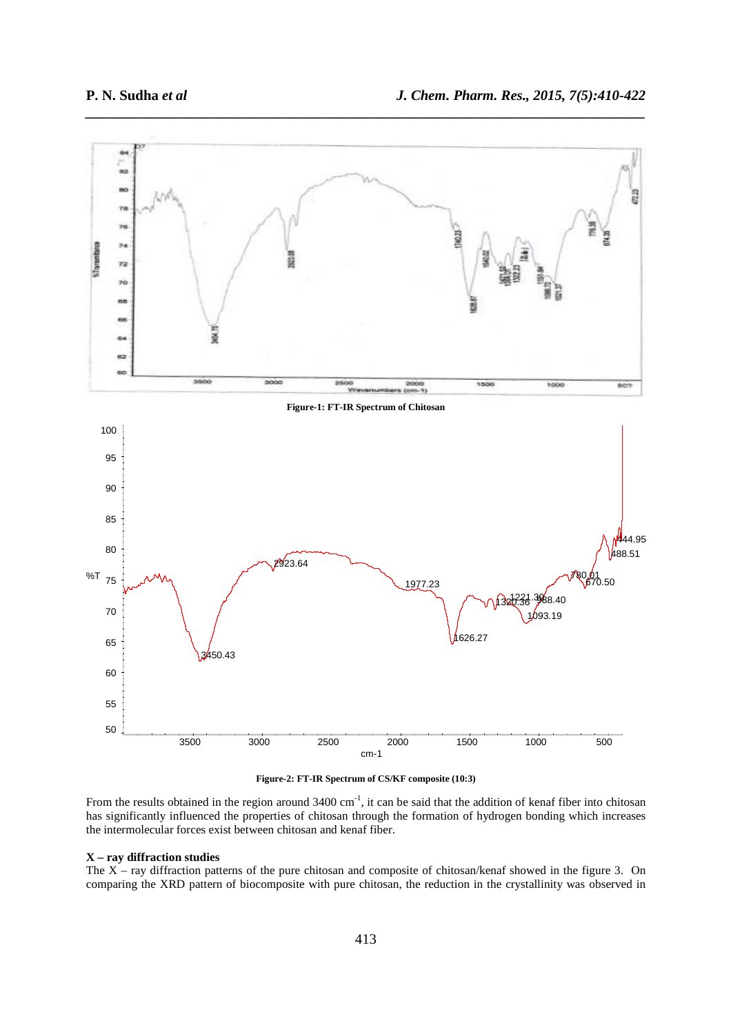

*\_\_\_\_\_\_\_\_\_\_\_\_\_\_\_\_\_\_\_\_\_\_\_\_\_\_\_\_\_\_\_\_\_\_\_\_\_\_\_\_\_\_\_\_\_\_\_\_\_\_\_\_\_\_\_\_\_\_\_\_\_\_\_\_\_\_\_\_\_\_\_\_\_\_\_\_\_\_*

**Figure-2: FT-IR Spectrum of CS/KF composite (10:3)** 

From the results obtained in the region around  $3400 \text{ cm}^{-1}$ , it can be said that the addition of kenaf fiber into chitosan has significantly influenced the properties of chitosan through the formation of hydrogen bonding which increases the intermolecular forces exist between chitosan and kenaf fiber.

#### **X – ray diffraction studies**

The X – ray diffraction patterns of the pure chitosan and composite of chitosan/kenaf showed in the figure 3. On comparing the XRD pattern of biocomposite with pure chitosan, the reduction in the crystallinity was observed in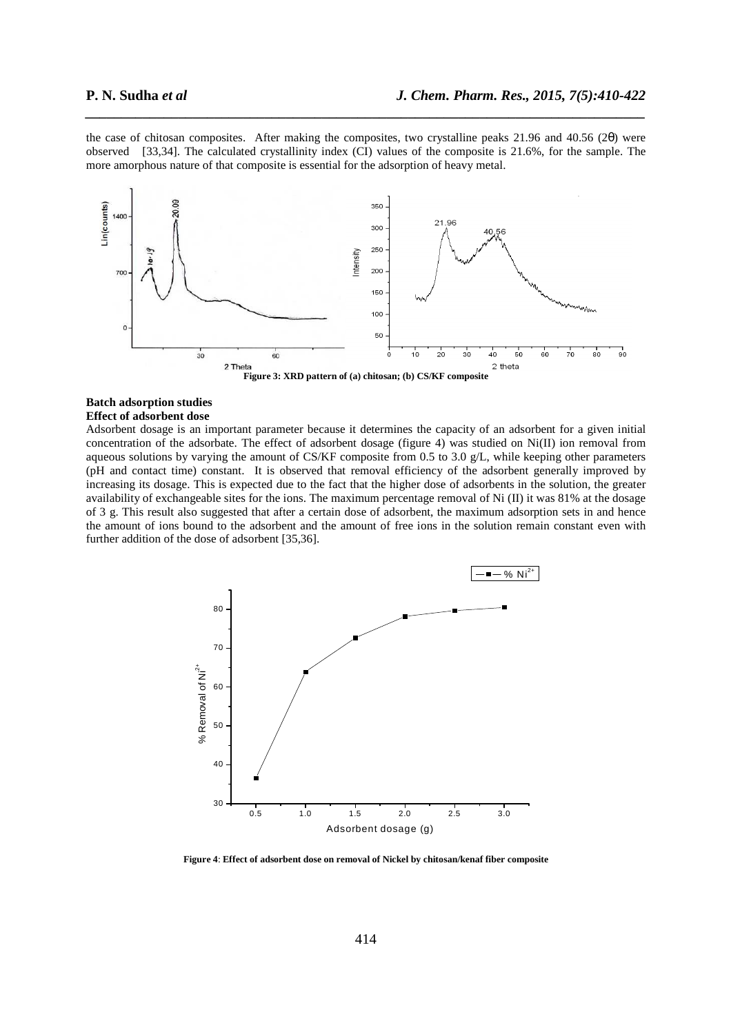the case of chitosan composites. After making the composites, two crystalline peaks 21.96 and 40.56 (2θ) were observed [33,34]. The calculated crystallinity index (CI) values of the composite is 21.6%, for the sample. The more amorphous nature of that composite is essential for the adsorption of heavy metal.

*\_\_\_\_\_\_\_\_\_\_\_\_\_\_\_\_\_\_\_\_\_\_\_\_\_\_\_\_\_\_\_\_\_\_\_\_\_\_\_\_\_\_\_\_\_\_\_\_\_\_\_\_\_\_\_\_\_\_\_\_\_\_\_\_\_\_\_\_\_\_\_\_\_\_\_\_\_\_*





#### **Batch adsorption studies Effect of adsorbent dose**

Adsorbent dosage is an important parameter because it determines the capacity of an adsorbent for a given initial concentration of the adsorbate. The effect of adsorbent dosage (figure 4) was studied on Ni(II) ion removal from aqueous solutions by varying the amount of CS/KF composite from 0.5 to 3.0 g/L, while keeping other parameters (pH and contact time) constant. It is observed that removal efficiency of the adsorbent generally improved by increasing its dosage. This is expected due to the fact that the higher dose of adsorbents in the solution, the greater availability of exchangeable sites for the ions. The maximum percentage removal of Ni (II) it was 81% at the dosage of 3 g. This result also suggested that after a certain dose of adsorbent, the maximum adsorption sets in and hence the amount of ions bound to the adsorbent and the amount of free ions in the solution remain constant even with further addition of the dose of adsorbent [35,36].



**Figure 4**: **Effect of adsorbent dose on removal of Nickel by chitosan/kenaf fiber composite**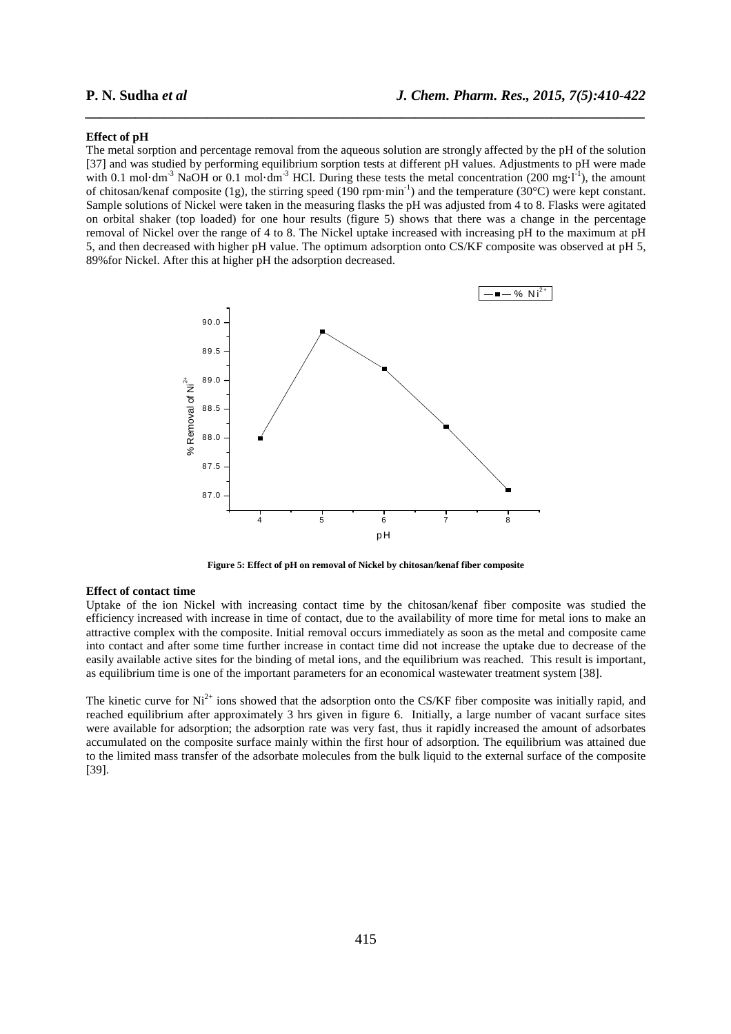#### **Effect of pH**

The metal sorption and percentage removal from the aqueous solution are strongly affected by the pH of the solution [37] and was studied by performing equilibrium sorption tests at different pH values. Adjustments to pH were made with 0.1 mol·dm<sup>-3</sup> NaOH or 0.1 mol·dm<sup>-3</sup> HCl. During these tests the metal concentration (200 mg·l<sup>-1</sup>), the amount of chitosan/kenaf composite (1g), the stirring speed (190 rpm·min-1) and the temperature (30°C) were kept constant. Sample solutions of Nickel were taken in the measuring flasks the pH was adjusted from 4 to 8. Flasks were agitated on orbital shaker (top loaded) for one hour results (figure 5) shows that there was a change in the percentage removal of Nickel over the range of 4 to 8. The Nickel uptake increased with increasing pH to the maximum at pH 5, and then decreased with higher pH value. The optimum adsorption onto CS/KF composite was observed at pH 5, 89%for Nickel. After this at higher pH the adsorption decreased.

*\_\_\_\_\_\_\_\_\_\_\_\_\_\_\_\_\_\_\_\_\_\_\_\_\_\_\_\_\_\_\_\_\_\_\_\_\_\_\_\_\_\_\_\_\_\_\_\_\_\_\_\_\_\_\_\_\_\_\_\_\_\_\_\_\_\_\_\_\_\_\_\_\_\_\_\_\_\_*



**Figure 5: Effect of pH on removal of Nickel by chitosan/kenaf fiber composite**

#### **Effect of contact time**

Uptake of the ion Nickel with increasing contact time by the chitosan/kenaf fiber composite was studied the efficiency increased with increase in time of contact, due to the availability of more time for metal ions to make an attractive complex with the composite. Initial removal occurs immediately as soon as the metal and composite came into contact and after some time further increase in contact time did not increase the uptake due to decrease of the easily available active sites for the binding of metal ions, and the equilibrium was reached. This result is important, as equilibrium time is one of the important parameters for an economical wastewater treatment system [38].

The kinetic curve for  $Ni^{2+}$  ions showed that the adsorption onto the CS/KF fiber composite was initially rapid, and reached equilibrium after approximately 3 hrs given in figure 6. Initially, a large number of vacant surface sites were available for adsorption; the adsorption rate was very fast, thus it rapidly increased the amount of adsorbates accumulated on the composite surface mainly within the first hour of adsorption. The equilibrium was attained due to the limited mass transfer of the adsorbate molecules from the bulk liquid to the external surface of the composite [39].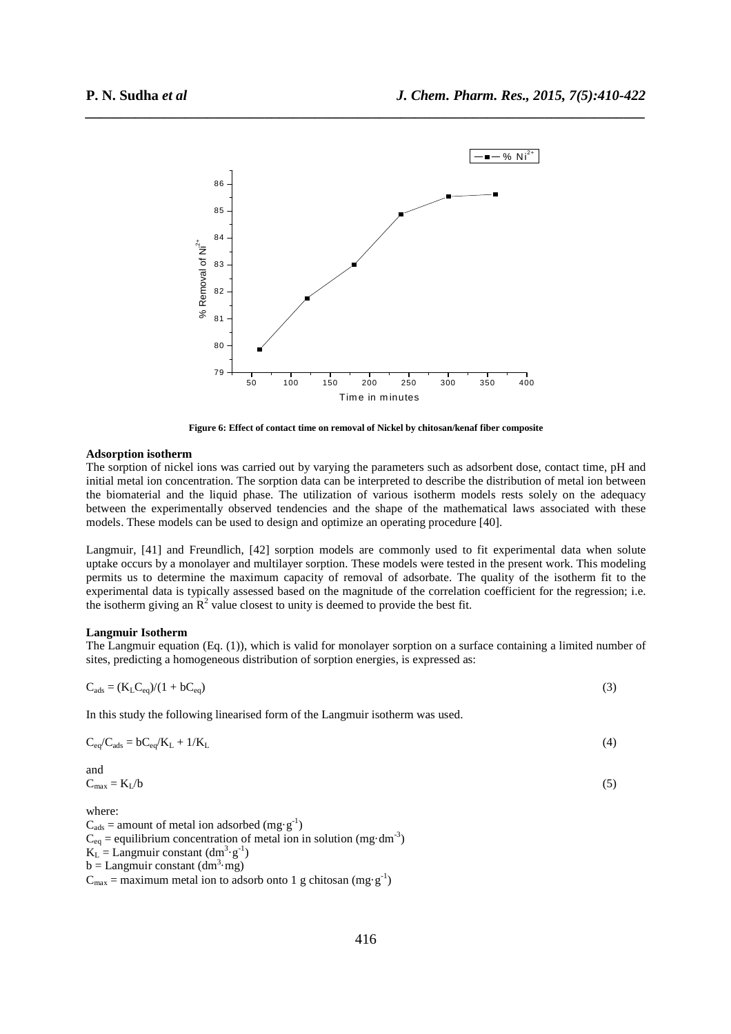

*\_\_\_\_\_\_\_\_\_\_\_\_\_\_\_\_\_\_\_\_\_\_\_\_\_\_\_\_\_\_\_\_\_\_\_\_\_\_\_\_\_\_\_\_\_\_\_\_\_\_\_\_\_\_\_\_\_\_\_\_\_\_\_\_\_\_\_\_\_\_\_\_\_\_\_\_\_\_*

**Figure 6: Effect of contact time on removal of Nickel by chitosan/kenaf fiber composite** 

### **Adsorption isotherm**

The sorption of nickel ions was carried out by varying the parameters such as adsorbent dose, contact time, pH and initial metal ion concentration. The sorption data can be interpreted to describe the distribution of metal ion between the biomaterial and the liquid phase. The utilization of various isotherm models rests solely on the adequacy between the experimentally observed tendencies and the shape of the mathematical laws associated with these models. These models can be used to design and optimize an operating procedure [40].

Langmuir, [41] and Freundlich, [42] sorption models are commonly used to fit experimental data when solute uptake occurs by a monolayer and multilayer sorption. These models were tested in the present work. This modeling permits us to determine the maximum capacity of removal of adsorbate. The quality of the isotherm fit to the experimental data is typically assessed based on the magnitude of the correlation coefficient for the regression; i.e. the isotherm giving an  $\mathbb{R}^2$  value closest to unity is deemed to provide the best fit.

### **Langmuir Isotherm**

The Langmuir equation (Eq. (1)), which is valid for monolayer sorption on a surface containing a limited number of sites, predicting a homogeneous distribution of sorption energies, is expressed as:

$$
C_{ads} = (K_L C_{eq})/(1 + bC_{eq})
$$
\n(3)

In this study the following linearised form of the Langmuir isotherm was used.

$$
C_{eq}/C_{ads} = bC_{eq}/K_L + 1/K_L
$$
\n(4)

$$
C_{\text{max}} = K_{\text{L}}/b \tag{5}
$$

where:

and

 $C_{ads}$  = amount of metal ion adsorbed (mg·g<sup>-1</sup>)  $C_{eq}$  = equilibrium concentration of metal ion in solution (mg·dm<sup>-3</sup>)  $K_L =$ Langmuir constant  $(dm^3 \tcdot g^{-1})$  $b =$  Langmuir constant  $(dm^3 \cdot mg)$  $C_{\text{max}} =$  maximum metal ion to adsorb onto 1 g chitosan (mg·g<sup>-1</sup>)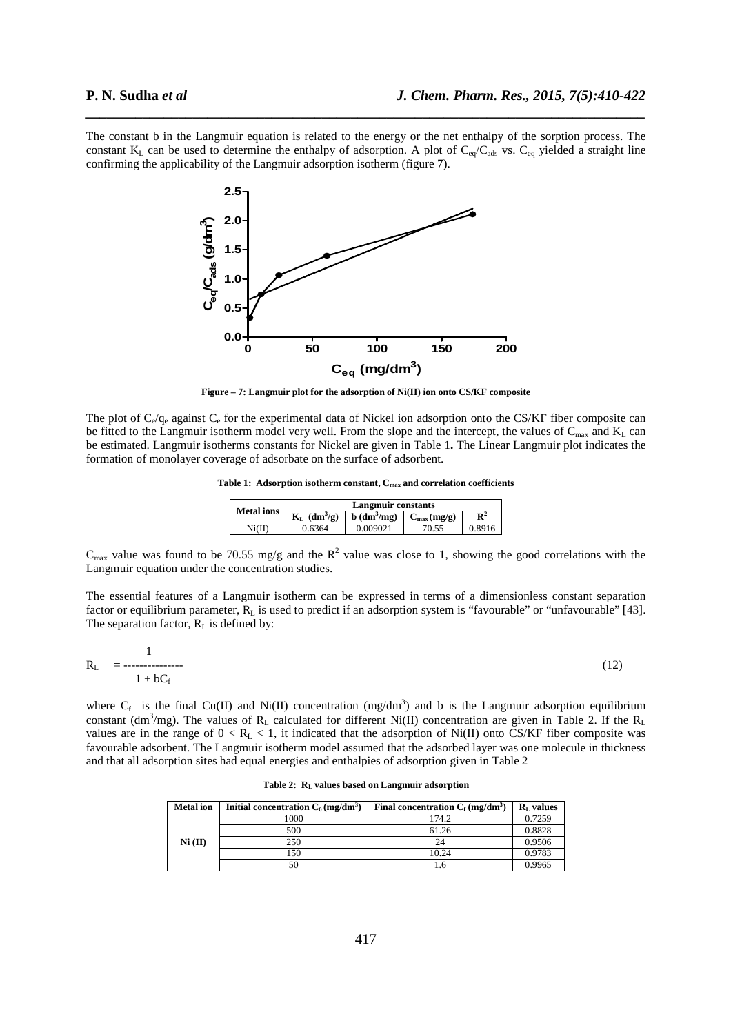The constant b in the Langmuir equation is related to the energy or the net enthalpy of the sorption process. The constant  $K_L$  can be used to determine the enthalpy of adsorption. A plot of  $C_{eq}/C_{ads}$  vs.  $C_{eq}$  yielded a straight line confirming the applicability of the Langmuir adsorption isotherm (figure 7).

*\_\_\_\_\_\_\_\_\_\_\_\_\_\_\_\_\_\_\_\_\_\_\_\_\_\_\_\_\_\_\_\_\_\_\_\_\_\_\_\_\_\_\_\_\_\_\_\_\_\_\_\_\_\_\_\_\_\_\_\_\_\_\_\_\_\_\_\_\_\_\_\_\_\_\_\_\_\_*



**Figure – 7: Langmuir plot for the adsorption of Ni(II) ion onto CS/KF composite** 

The plot of  $C_e/q_e$  against  $C_e$  for the experimental data of Nickel ion adsorption onto the CS/KF fiber composite can be fitted to the Langmuir isotherm model very well. From the slope and the intercept, the values of  $C_{\text{max}}$  and  $K_L$  can be estimated. Langmuir isotherms constants for Nickel are given in Table 1**.** The Linear Langmuir plot indicates the formation of monolayer coverage of adsorbate on the surface of adsorbent.

**Table 1: Adsorption isotherm constant, Cmax and correlation coefficients** 

| <b>Metal</b> ions | Langmuir constants |                                    |                      |                |
|-------------------|--------------------|------------------------------------|----------------------|----------------|
|                   | $(dm^3/g)$         | $\mathbf{b}$ (dm <sup>3</sup> /mg) | $C_{\rm max}$ (mg/g) | $\mathbb{R}^2$ |
| Ni(II)            | 0.6364             | 0.009021                           |                      | 0.8916         |

 $C_{\text{max}}$  value was found to be 70.55 mg/g and the  $R^2$  value was close to 1, showing the good correlations with the Langmuir equation under the concentration studies.

The essential features of a Langmuir isotherm can be expressed in terms of a dimensionless constant separation factor or equilibrium parameter,  $\overline{R}_L$  is used to predict if an adsorption system is "favourable" or "unfavourable" [43]. The separation factor,  $R_L$  is defined by:

$$
R_{L} = \frac{1}{1 + bC_{f}}
$$
 (12)

where  $C_f$  is the final Cu(II) and Ni(II) concentration (mg/dm<sup>3</sup>) and b is the Langmuir adsorption equilibrium constant (dm<sup>3</sup>/mg). The values of  $R_L$  calculated for different Ni(II) concentration are given in Table 2. If the  $R_L$ values are in the range of  $0 < R<sub>L</sub> < 1$ , it indicated that the adsorption of Ni(II) onto CS/KF fiber composite was favourable adsorbent. The Langmuir isotherm model assumed that the adsorbed layer was one molecule in thickness and that all adsorption sites had equal energies and enthalpies of adsorption given in Table 2

| <b>Metal</b> ion | Initial concentration $C_0$ (mg/dm <sup>3</sup> ) | Final concentration $C_f$ (mg/dm <sup>3</sup> ) | $RL$ values |
|------------------|---------------------------------------------------|-------------------------------------------------|-------------|
|                  | 1000                                              | 174.2                                           | 0.7259      |
|                  | 500                                               | 61.26                                           | 0.8828      |
| Ni (II)          | 250                                               | 24                                              | 0.9506      |
|                  | 150                                               | 10.24                                           | 0.9783      |
|                  | 50                                                |                                                 | 0.9965      |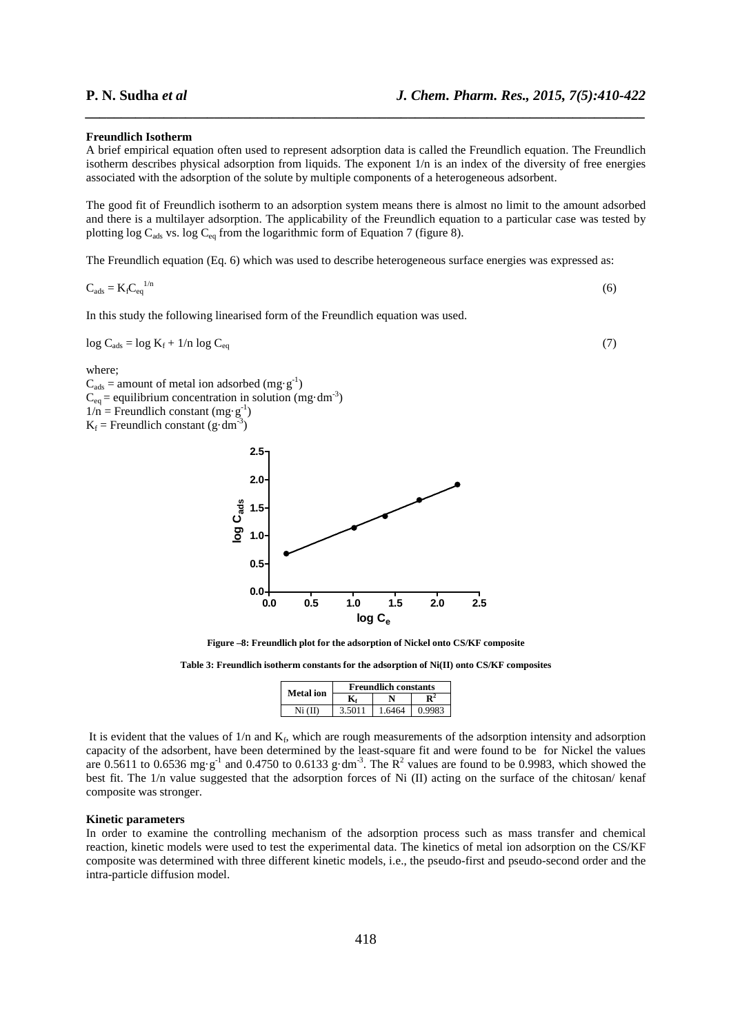#### **Freundlich Isotherm**

A brief empirical equation often used to represent adsorption data is called the Freundlich equation. The Freundlich isotherm describes physical adsorption from liquids. The exponent 1/n is an index of the diversity of free energies associated with the adsorption of the solute by multiple components of a heterogeneous adsorbent.

*\_\_\_\_\_\_\_\_\_\_\_\_\_\_\_\_\_\_\_\_\_\_\_\_\_\_\_\_\_\_\_\_\_\_\_\_\_\_\_\_\_\_\_\_\_\_\_\_\_\_\_\_\_\_\_\_\_\_\_\_\_\_\_\_\_\_\_\_\_\_\_\_\_\_\_\_\_\_*

The good fit of Freundlich isotherm to an adsorption system means there is almost no limit to the amount adsorbed and there is a multilayer adsorption. The applicability of the Freundlich equation to a particular case was tested by plotting log C<sub>ads</sub> vs. log C<sub>eq</sub> from the logarithmic form of Equation 7 (figure 8).

The Freundlich equation (Eq. 6) which was used to describe heterogeneous surface energies was expressed as:

$$
C_{ads} = K_f C_{eq}^{1/n} \tag{6}
$$

In this study the following linearised form of the Freundlich equation was used.

 $\log C_{\text{ads}} = \log K_f + 1/n \log C_{\text{eq}}$  (7)

where;

 $C_{ads}$  = amount of metal ion adsorbed (mg·g<sup>-1</sup>)  $C_{eq}$  = equilibrium concentration in solution (mg·dm<sup>-3</sup>)  $1/n$  = Freundlich constant (mg·g<sup>-1</sup>)  $K_f$  = Freundlich constant (g·dm<sup>-3</sup>)



**Figure –8: Freundlich plot for the adsorption of Nickel onto CS/KF composite** 

**Table 3: Freundlich isotherm constants for the adsorption of Ni(II) onto CS/KF composites** 

|           | <b>Freundlich constants</b> |        |        |  |
|-----------|-----------------------------|--------|--------|--|
| Metal ion |                             |        |        |  |
| Ni (II)   | 3.5011                      | 1.6464 | 0.9983 |  |

It is evident that the values of  $1/n$  and  $K_f$ , which are rough measurements of the adsorption intensity and adsorption capacity of the adsorbent, have been determined by the least-square fit and were found to be for Nickel the values are 0.5611 to 0.6536 mg·g<sup>-1</sup> and 0.4750 to 0.6133 g·dm<sup>-3</sup>. The  $\mathbb{R}^2$  values are found to be 0.9983, which showed the best fit. The 1/n value suggested that the adsorption forces of Ni (II) acting on the surface of the chitosan/ kenaf composite was stronger.

#### **Kinetic parameters**

In order to examine the controlling mechanism of the adsorption process such as mass transfer and chemical reaction, kinetic models were used to test the experimental data. The kinetics of metal ion adsorption on the CS/KF composite was determined with three different kinetic models, i.e., the pseudo-first and pseudo-second order and the intra-particle diffusion model.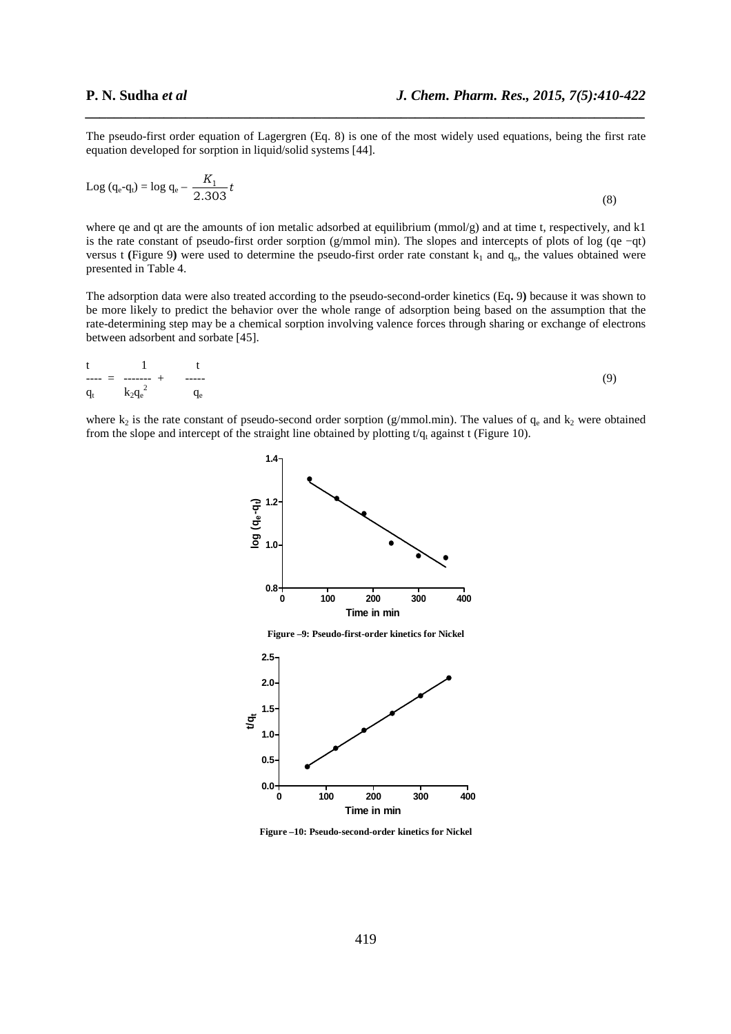The pseudo-first order equation of Lagergren (Eq. 8) is one of the most widely used equations, being the first rate equation developed for sorption in liquid/solid systems [44].

*\_\_\_\_\_\_\_\_\_\_\_\_\_\_\_\_\_\_\_\_\_\_\_\_\_\_\_\_\_\_\_\_\_\_\_\_\_\_\_\_\_\_\_\_\_\_\_\_\_\_\_\_\_\_\_\_\_\_\_\_\_\_\_\_\_\_\_\_\_\_\_\_\_\_\_\_\_\_*

$$
Log (q_e - q_t) = log q_e - \frac{K_1}{2.303} t
$$
\n(8)

where ge and qt are the amounts of ion metalic adsorbed at equilibrium ( $mmol/g$ ) and at time t, respectively, and k1 is the rate constant of pseudo-first order sorption (g/mmol min). The slopes and intercepts of plots of log (qe −qt) versus t (Figure 9) were used to determine the pseudo-first order rate constant  $k_1$  and  $q_e$ , the values obtained were presented in Table 4.

The adsorption data were also treated according to the pseudo-second-order kinetics (Eq**.** 9**)** because it was shown to be more likely to predict the behavior over the whole range of adsorption being based on the assumption that the rate-determining step may be a chemical sorption involving valence forces through sharing or exchange of electrons between adsorbent and sorbate [45].

$$
\frac{t}{q_t} = \frac{1}{k_2 q_e^2} + \frac{t}{q_e}
$$
 (9)

where  $k_2$  is the rate constant of pseudo-second order sorption (g/mmol.min). The values of  $q_e$  and  $k_2$  were obtained from the slope and intercept of the straight line obtained by plotting  $t/q_t$  against t (Figure 10).



**Time in min Figure –10: Pseudo-second-order kinetics for Nickel**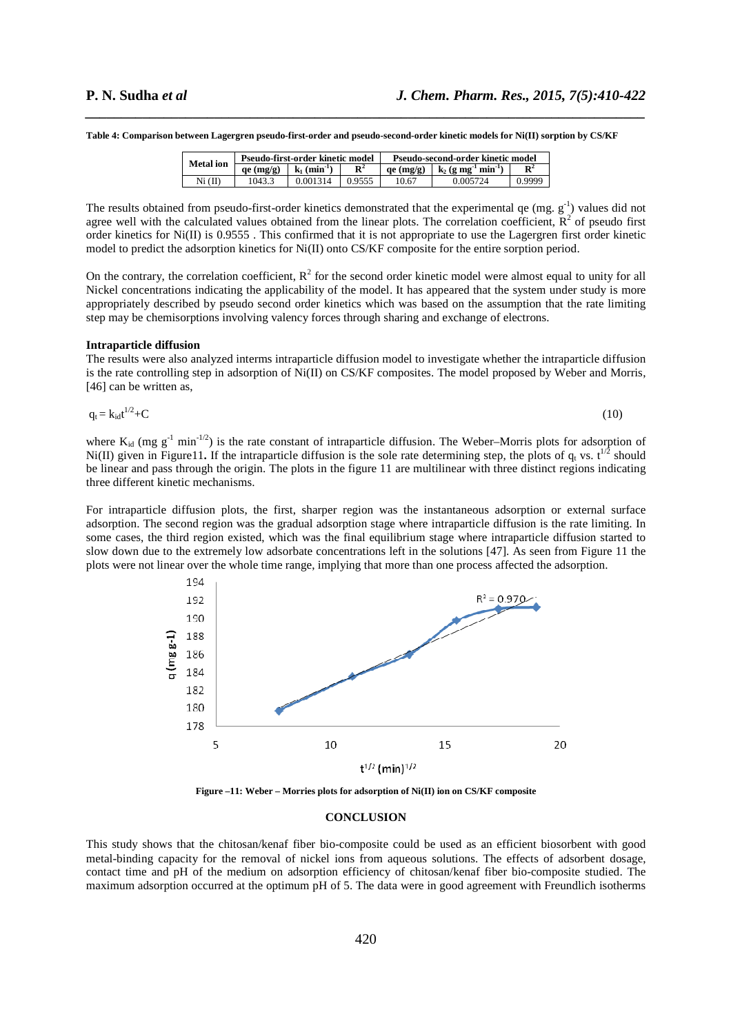**Table 4: Comparison between Lagergren pseudo-first-order and pseudo-second-order kinetic models for Ni(II) sorption by CS/KF** 

| <b>Metal</b> ion | Pseudo-first-order kinetic model |                            |                | Pseudo-second-order kinetic model |                                               |                |
|------------------|----------------------------------|----------------------------|----------------|-----------------------------------|-----------------------------------------------|----------------|
|                  | qe (mg/g)                        | $k_1$ (min <sup>-1</sup> ) | $\mathbf{R}^2$ | $ae$ (mg/g)                       | $k_2$ (g mg <sup>-1</sup> min <sup>-1</sup> ) | $\mathbf{R}^2$ |
| Ni (II)          | 1043.3                           | 0.001314                   | 0.9555         | 10.67                             | 0.005724                                      | 0.9999         |

*\_\_\_\_\_\_\_\_\_\_\_\_\_\_\_\_\_\_\_\_\_\_\_\_\_\_\_\_\_\_\_\_\_\_\_\_\_\_\_\_\_\_\_\_\_\_\_\_\_\_\_\_\_\_\_\_\_\_\_\_\_\_\_\_\_\_\_\_\_\_\_\_\_\_\_\_\_\_*

The results obtained from pseudo-first-order kinetics demonstrated that the experimental qe  $(mg. g<sup>-1</sup>)$  values did not agree well with the calculated values obtained from the linear plots. The correlation coefficient,  $R^2$  of pseudo first order kinetics for Ni(II) is 0.9555 . This confirmed that it is not appropriate to use the Lagergren first order kinetic model to predict the adsorption kinetics for Ni(II) onto CS/KF composite for the entire sorption period.

On the contrary, the correlation coefficient,  $R^2$  for the second order kinetic model were almost equal to unity for all Nickel concentrations indicating the applicability of the model. It has appeared that the system under study is more appropriately described by pseudo second order kinetics which was based on the assumption that the rate limiting step may be chemisorptions involving valency forces through sharing and exchange of electrons.

#### **Intraparticle diffusion**

The results were also analyzed interms intraparticle diffusion model to investigate whether the intraparticle diffusion is the rate controlling step in adsorption of Ni(II) on CS/KF composites. The model proposed by Weber and Morris, [46] can be written as,

$$
q_t = k_{id}t^{1/2} + C \tag{10}
$$

where  $K_{id}$  (mg  $g^{-1}$  min<sup>-1/2</sup>) is the rate constant of intraparticle diffusion. The Weber–Morris plots for adsorption of Ni(II) given in Figure11. If the intraparticle diffusion is the sole rate determining step, the plots of  $q_t$  vs.  $t^{1/2}$  should be linear and pass through the origin. The plots in the figure 11 are multilinear with three distinct regions indicating three different kinetic mechanisms.

For intraparticle diffusion plots, the first, sharper region was the instantaneous adsorption or external surface adsorption. The second region was the gradual adsorption stage where intraparticle diffusion is the rate limiting. In some cases, the third region existed, which was the final equilibrium stage where intraparticle diffusion started to slow down due to the extremely low adsorbate concentrations left in the solutions [47]. As seen from Figure 11 the plots were not linear over the whole time range, implying that more than one process affected the adsorption.



**Figure –11: Weber – Morries plots for adsorption of Ni(II) ion on CS/KF composite**

#### **CONCLUSION**

This study shows that the chitosan/kenaf fiber bio-composite could be used as an efficient biosorbent with good metal-binding capacity for the removal of nickel ions from aqueous solutions. The effects of adsorbent dosage, contact time and pH of the medium on adsorption efficiency of chitosan/kenaf fiber bio-composite studied. The maximum adsorption occurred at the optimum pH of 5. The data were in good agreement with Freundlich isotherms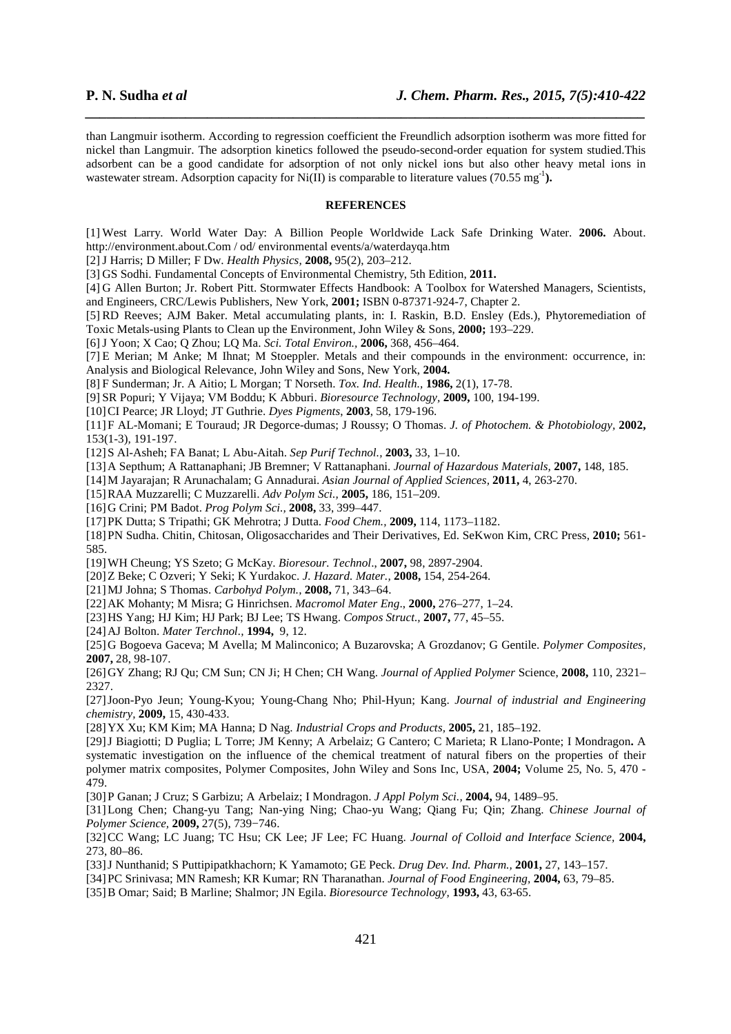than Langmuir isotherm. According to regression coefficient the Freundlich adsorption isotherm was more fitted for nickel than Langmuir. The adsorption kinetics followed the pseudo-second-order equation for system studied.This adsorbent can be a good candidate for adsorption of not only nickel ions but also other heavy metal ions in wastewater stream. Adsorption capacity for  $Ni(II)$  is comparable to literature values (70.55 mg<sup>-1</sup>).

*\_\_\_\_\_\_\_\_\_\_\_\_\_\_\_\_\_\_\_\_\_\_\_\_\_\_\_\_\_\_\_\_\_\_\_\_\_\_\_\_\_\_\_\_\_\_\_\_\_\_\_\_\_\_\_\_\_\_\_\_\_\_\_\_\_\_\_\_\_\_\_\_\_\_\_\_\_\_*

#### **REFERENCES**

[1] West Larry. World Water Day: A Billion People Worldwide Lack Safe Drinking Water. **2006.** About. http://environment.about.Com / od/ environmental events/a/waterdayqa.htm

[2]J Harris; D Miller; F Dw. *Health Physics,* **2008,** 95(2), 203–212.

[3] GS Sodhi. Fundamental Concepts of Environmental Chemistry, 5th Edition, **2011.** 

[4] G Allen Burton; Jr. Robert Pitt. Stormwater Effects Handbook: A Toolbox for Watershed Managers, Scientists, and Engineers, CRC/Lewis Publishers, New York, **2001;** ISBN 0-87371-924-7, Chapter 2.

[5] RD Reeves; AJM Baker. Metal accumulating plants, in: I. Raskin, B.D. Ensley (Eds.), Phytoremediation of Toxic Metals-using Plants to Clean up the Environment, John Wiley & Sons, **2000;** 193–229.

[6]J Yoon; X Cao; Q Zhou; LQ Ma. *Sci. Total Environ.,* **2006,** 368, 456–464.

[7] E Merian; M Anke; M Ihnat; M Stoeppler. Metals and their compounds in the environment: occurrence, in: Analysis and Biological Relevance, John Wiley and Sons, New York, **2004.**

[8] F Sunderman; Jr. A Aitio; L Morgan; T Norseth. *Tox. Ind. Health.,* **1986,** 2(1), 17-78.

[9] SR Popuri; Y Vijaya; VM Boddu; K Abburi. *Bioresource Technology,* **2009,** 100, 194-199.

[10]CI Pearce; JR Lloyd; JT Guthrie. *Dyes Pigments*, **2003**, 58, 179-196.

[11]F AL-Momani; E Touraud; JR Degorce-dumas; J Roussy; O Thomas. *J. of Photochem. & Photobiology,* **2002,** 153(1-3)*,* 191-197.

[12]S Al-Asheh; FA Banat; L Abu-Aitah. *Sep Purif Technol.,* **2003,** 33, 1–10.

[13]A Septhum; A Rattanaphani; JB Bremner; V Rattanaphani. *Journal of Hazardous Materials,* **2007,** 148, 185.

[14]M Jayarajan; R Arunachalam; G Annadurai. *Asian Journal of Applied Sciences,* **2011,** 4, 263-270.

[15]RAA Muzzarelli; C Muzzarelli. *Adv Polym Sci.,* **2005,** 186, 151–209.

[16]G Crini; PM Badot. *Prog Polym Sci.,* **2008,** 33, 399–447.

[17]PK Dutta; S Tripathi; GK Mehrotra; J Dutta. *Food Chem.,* **2009,** 114, 1173–1182.

[18]PN Sudha. Chitin, Chitosan, Oligosaccharides and Their Derivatives, Ed. SeKwon Kim, CRC Press, **2010;** 561- 585.

[19]WH Cheung; YS Szeto; G McKay. *Bioresour. Technol*., **2007,** 98, 2897-2904.

[20]Z Beke; C Ozveri; Y Seki; K Yurdakoc. *J. Hazard. Mater.,* **2008,** 154, 254-264.

[21]MJ Johna; S Thomas. *Carbohyd Polym.,* **2008,** 71, 343–64.

[22]AK Mohanty; M Misra; G Hinrichsen. *Macromol Mater Eng*., **2000,** 276–277, 1–24.

[23]HS Yang; HJ Kim; HJ Park; BJ Lee; TS Hwang. *Compos Struct.,* **2007,** 77, 45–55.

[24]AJ Bolton. *Mater Terchnol.,* **1994,**9, 12.

[25]G Bogoeva Gaceva; M Avella; M Malinconico; A Buzarovska; A Grozdanov; G Gentile. *Polymer Composites,*  **2007,** 28, 98-107.

[26]GY Zhang; RJ Qu; CM Sun; CN Ji; H Chen; CH Wang. *Journal of Applied Polymer* Science, **2008,** 110, 2321– 2327.

[27]Joon-Pyo Jeun; Young-Kyou; Young-Chang Nho; Phil-Hyun; Kang. *Journal of industrial and Engineering chemistry,* **2009,** 15, 430-433.

[28]YX Xu; KM Kim; MA Hanna; D Nag. *Industrial Crops and Products,* **2005,** 21, 185–192.

[29]J Biagiotti; D Puglia; L Torre; JM Kenny; A Arbelaiz; G Cantero; C Marieta; R Llano-Ponte; I Mondragon**.** A systematic investigation on the influence of the chemical treatment of natural fibers on the properties of their polymer matrix composites, Polymer Composites, John Wiley and Sons Inc, USA, **2004;** Volume 25, No. 5, 470 - 479.

[30]P Ganan; J Cruz; S Garbizu; A Arbelaiz; I Mondragon. *J Appl Polym Sci.,* **2004,** 94, 1489–95.

[31]Long Chen; Chang-yu Tang; Nan-ying Ning; Chao-yu Wang; Qiang Fu; Qin; Zhang. *Chinese Journal of Polymer Science,* **2009,** 27(5), 739−746.

[32]CC Wang; LC Juang; TC Hsu; CK Lee; JF Lee; FC Huang. *Journal of Colloid and Interface Science,* **2004,**  273, 80–86.

[33]J Nunthanid; S Puttipipatkhachorn; K Yamamoto; GE Peck. *Drug Dev. Ind. Pharm.,* **2001,** 27, 143–157.

[34]PC Srinivasa; MN Ramesh; KR Kumar; RN Tharanathan. *Journal of Food Engineering,* **2004,** 63, 79–85.

[35]B Omar; Said; B Marline; Shalmor; JN Egila. *Bioresource Technology,* **1993,** 43, 63-65.